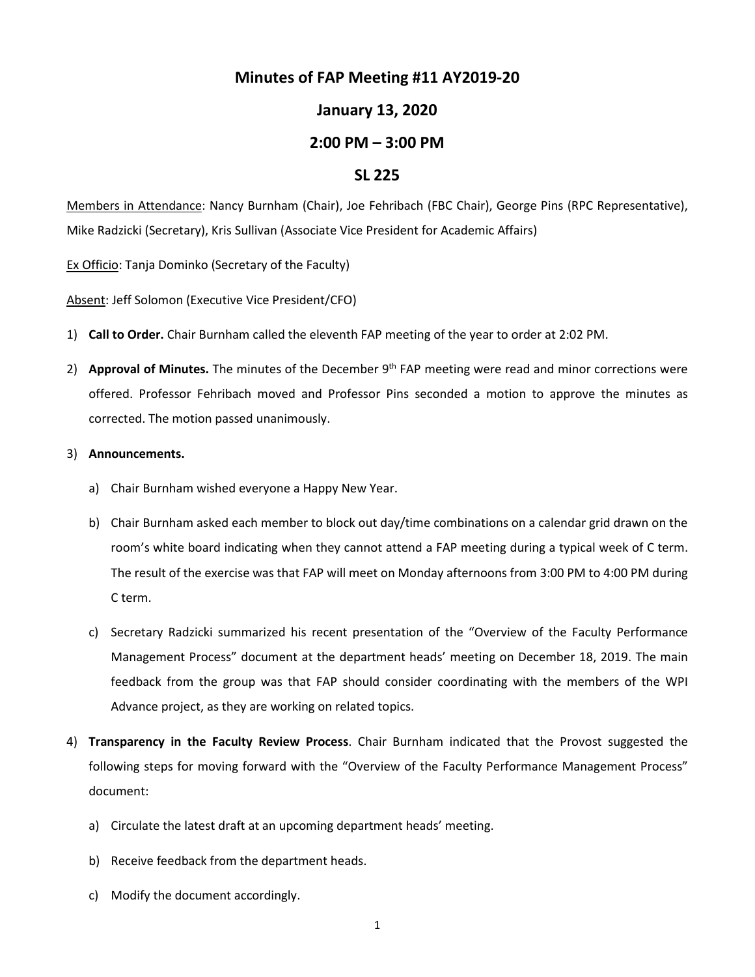# **Minutes of FAP Meeting #11 AY2019-20**

# **January 13, 2020**

## **2:00 PM – 3:00 PM**

### **SL 225**

Members in Attendance: Nancy Burnham (Chair), Joe Fehribach (FBC Chair), George Pins (RPC Representative), Mike Radzicki (Secretary), Kris Sullivan (Associate Vice President for Academic Affairs)

Ex Officio: Tanja Dominko (Secretary of the Faculty)

Absent: Jeff Solomon (Executive Vice President/CFO)

- 1) **Call to Order.** Chair Burnham called the eleventh FAP meeting of the year to order at 2:02 PM.
- 2) **Approval of Minutes.** The minutes of the December 9<sup>th</sup> FAP meeting were read and minor corrections were offered. Professor Fehribach moved and Professor Pins seconded a motion to approve the minutes as corrected. The motion passed unanimously.

#### 3) **Announcements.**

- a) Chair Burnham wished everyone a Happy New Year.
- b) Chair Burnham asked each member to block out day/time combinations on a calendar grid drawn on the room's white board indicating when they cannot attend a FAP meeting during a typical week of C term. The result of the exercise was that FAP will meet on Monday afternoons from 3:00 PM to 4:00 PM during C term.
- c) Secretary Radzicki summarized his recent presentation of the "Overview of the Faculty Performance Management Process" document at the department heads' meeting on December 18, 2019. The main feedback from the group was that FAP should consider coordinating with the members of the WPI Advance project, as they are working on related topics.
- 4) **Transparency in the Faculty Review Process**. Chair Burnham indicated that the Provost suggested the following steps for moving forward with the "Overview of the Faculty Performance Management Process" document:
	- a) Circulate the latest draft at an upcoming department heads' meeting.
	- b) Receive feedback from the department heads.
	- c) Modify the document accordingly.